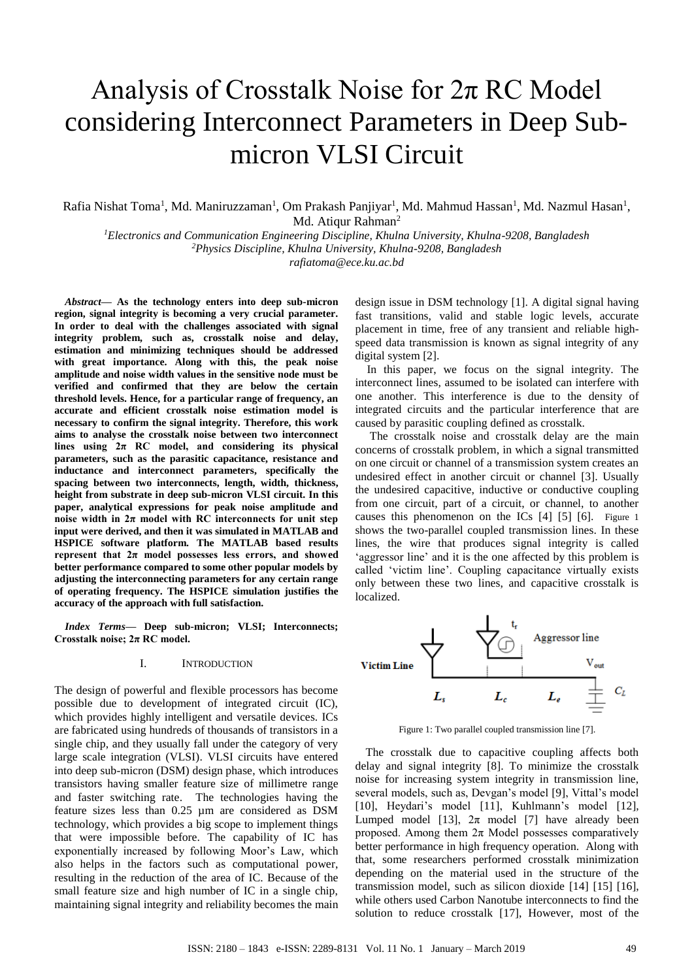# Analysis of Crosstalk Noise for 2π RC Model considering Interconnect Parameters in Deep Submicron VLSI Circuit

Rafia Nishat Toma<sup>1</sup>, Md. Maniruzzaman<sup>1</sup>, Om Prakash Panjiyar<sup>1</sup>, Md. Mahmud Hassan<sup>1</sup>, Md. Nazmul Hasan<sup>1</sup>, Md. Atiqur Rahman<sup>2</sup>

*<sup>1</sup>Electronics and Communication Engineering Discipline, Khulna University, Khulna-9208, Bangladesh <sup>2</sup>Physics Discipline, Khulna University, Khulna-9208, Bangladesh rafiatoma@ece.ku.ac.bd*

*Abstract***— As the technology enters into deep sub-micron region, signal integrity is becoming a very crucial parameter. In order to deal with the challenges associated with signal integrity problem, such as, crosstalk noise and delay, estimation and minimizing techniques should be addressed with great importance. Along with this, the peak noise amplitude and noise width values in the sensitive node must be verified and confirmed that they are below the certain threshold levels. Hence, for a particular range of frequency, an accurate and efficient crosstalk noise estimation model is necessary to confirm the signal integrity. Therefore, this work aims to analyse the crosstalk noise between two interconnect lines using 2π RC model, and considering its physical parameters, such as the parasitic capacitance, resistance and inductance and interconnect parameters, specifically the spacing between two interconnects, length, width, thickness, height from substrate in deep sub-micron VLSI circuit. In this paper, analytical expressions for peak noise amplitude and**  noise width in  $2\pi$  model with RC interconnects for unit step **input were derived, and then it was simulated in MATLAB and HSPICE software platform. The MATLAB based results represent that**  $2\pi$  **model possesses less errors, and showed better performance compared to some other popular models by adjusting the interconnecting parameters for any certain range of operating frequency. The HSPICE simulation justifies the accuracy of the approach with full satisfaction.**

*Index Terms***— Deep sub-micron; VLSI; Interconnects; Crosstalk noise; 2π RC model.**

#### I. INTRODUCTION

The design of powerful and flexible processors has become possible due to development of integrated circuit (IC), which provides highly intelligent and versatile devices. ICs are fabricated using hundreds of thousands of transistors in a single chip, and they usually fall under the category of very large scale integration (VLSI). VLSI circuits have entered into deep sub-micron (DSM) design phase, which introduces transistors having smaller feature size of millimetre range and faster switching rate. The technologies having the feature sizes less than 0.25 µm are considered as DSM technology, which provides a big scope to implement things that were impossible before. The capability of IC has exponentially increased by following Moor's Law, which also helps in the factors such as computational power, resulting in the reduction of the area of IC. Because of the small feature size and high number of IC in a single chip, maintaining signal integrity and reliability becomes the main design issue in DSM technology [1]. A digital signal having fast transitions, valid and stable logic levels, accurate placement in time, free of any transient and reliable highspeed data transmission is known as signal integrity of any digital system [2].

In this paper, we focus on the signal integrity. The interconnect lines, assumed to be isolated can interfere with one another. This interference is due to the density of integrated circuits and the particular interference that are caused by parasitic coupling defined as crosstalk.

The crosstalk noise and crosstalk delay are the main concerns of crosstalk problem, in which a signal transmitted on one circuit or channel of a transmission system creates an undesired effect in another circuit or channel [3]. Usually the undesired capacitive, inductive or conductive coupling from one circuit, part of a circuit, or channel, to another causes this phenomenon on the ICs [4] [5] [6]. [Figure 1](#page-0-0) shows the two-parallel coupled transmission lines. In these lines, the wire that produces signal integrity is called 'aggressor line' and it is the one affected by this problem is called 'victim line'. Coupling capacitance virtually exists only between these two lines, and capacitive crosstalk is localized.



Figure 1: Two parallel coupled transmission line [7].

<span id="page-0-0"></span>The crosstalk due to capacitive coupling affects both delay and signal integrity [8]. To minimize the crosstalk noise for increasing system integrity in transmission line, several models, such as, Devgan's model [9], Vittal's model [10], Heydari's model [11], Kuhlmann's model [12], Lumped model [13],  $2\pi$  model [7] have already been proposed. Among them  $2\pi$  Model possesses comparatively better performance in high frequency operation. Along with that, some researchers performed crosstalk minimization depending on the material used in the structure of the transmission model, such as silicon dioxide [14] [15] [16], while others used Carbon Nanotube interconnects to find the solution to reduce crosstalk [17], However, most of the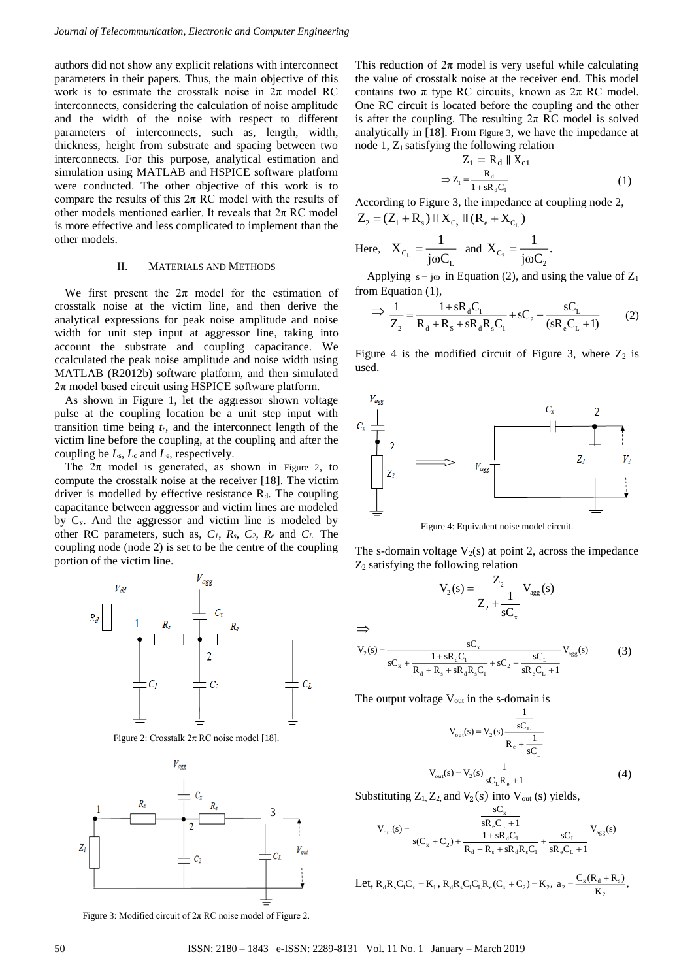authors did not show any explicit relations with interconnect parameters in their papers. Thus, the main objective of this work is to estimate the crosstalk noise in  $2\pi$  model RC interconnects, considering the calculation of noise amplitude and the width of the noise with respect to different parameters of interconnects, such as, length, width, thickness, height from substrate and spacing between two interconnects. For this purpose, analytical estimation and simulation using MATLAB and HSPICE software platform were conducted. The other objective of this work is to compare the results of this  $2\pi$  RC model with the results of other models mentioned earlier. It reveals that  $2\pi$  RC model is more effective and less complicated to implement than the other models.

#### II. MATERIALS AND METHODS

We first present the  $2\pi$  model for the estimation of crosstalk noise at the victim line, and then derive the analytical expressions for peak noise amplitude and noise width for unit step input at aggressor line, taking into account the substrate and coupling capacitance. We ccalculated the peak noise amplitude and noise width using MATLAB (R2012b) software platform, and then simulated  $2\pi$  model based circuit using HSPICE software platform.

As shown in [Figure 1,](#page-0-0) let the aggressor shown voltage pulse at the coupling location be a unit step input with transition time being  $t_r$ , and the interconnect length of the victim line before the coupling, at the coupling and after the coupling be *L*s, *L*<sup>c</sup> and *L*e, respectively.

The  $2\pi$  model is generated, as shown in [Figure 2](#page-1-0), to compute the crosstalk noise at the receiver [18]. The victim driver is modelled by effective resistance  $R_d$ . The coupling capacitance between aggressor and victim lines are modeled by  $C_x$ . And the aggressor and victim line is modeled by other RC parameters, such as, *C1*, *Rs*, *C2*, *R<sup>e</sup>* and *CL*. The coupling node (node 2) is set to be the centre of the coupling portion of the victim line.



Figure 2: Crosstalk  $2\pi$  RC noise model [18].

<span id="page-1-0"></span>

<span id="page-1-1"></span>Figure 3: Modified circuit of  $2\pi$  RC noise model of Figure 2.

This reduction of  $2\pi$  model is very useful while calculating the value of crosstalk noise at the receiver end. This model contains two  $\pi$  type RC circuits, known as  $2\pi$  RC model. One RC circuit is located before the coupling and the other is after the coupling. The resulting  $2\pi$  RC model is solved analytically in [18]. From [Figure 3](#page-1-1), we have the impedance at node 1, Z<sub>1</sub> satisfying the following relation

$$
Z_1 = R_d || X_{c1}
$$
  
\n
$$
\Rightarrow Z_1 = \frac{R_d}{1 + sR_dC_1}
$$
 (1)

According to [Figure 3,](#page-1-1) the impedance at coupling node 2,  $Z_2 = (Z_1 + R_s) \parallel X_{C_2} \parallel (R_e + X_{C_1})$ 

Here, 
$$
X_{C_L} = \frac{1}{j\omega C_L}
$$
 and  $X_{C_2} = \frac{1}{j\omega C_2}$ .

Applying  $s = j\omega$  in Equation (2), and using the value of  $Z_1$ from Equation (1),

$$
\Rightarrow \frac{1}{Z_2} = \frac{1 + sR_dC_1}{R_d + R_s + sR_dR_sC_1} + sC_2 + \frac{sC_L}{(sR_eC_L + 1)}
$$
(2)

[Figure 4](#page-1-2) is the modified circuit of [Figure 3,](#page-1-1) where  $Z_2$  is used.



Figure 4: Equivalent noise model circuit.

<span id="page-1-2"></span>The s-domain voltage  $V_2(s)$  at point 2, across the impedance Z<sup>2</sup> satisfying the following relation

$$
V_2(s) = \frac{Z_2}{Z_2 + \frac{1}{sC_x}} V_{agg}(s)
$$

$$
= \frac{C_s}{\sqrt{S_x}} V_{agg}(s)
$$

$$
V_2(s) = \frac{sC_x}{sC_x + \frac{1 + sR_dC_1}{R_d + R_s + sR_dR_sC_1} + sC_2 + \frac{sC_L}{sR_eC_L + 1}} V_{agg}(s)
$$
(3)

The output voltage  $V_{\text{out}}$  in the s-domain is

$$
V_{out}(s) = V_2(s) \frac{\frac{1}{sC_L}}{R_e + \frac{1}{sC_L}}
$$
  

$$
V_{out}(s) = V_2(s) \frac{1}{sC_L R_e + 1}
$$
 (4)

,

K

2

Substituting  $Z_1$ ,  $Z_2$ , and  $V_2$ (s) into  $V_{out}$  (s) yields, sC x

$$
V_{out}(s) = \frac{\overline{sR_e C_L + 1}}{s(C_x + C_2) + \frac{1 + sR_d C_1}{R_d + R_s + sR_d R_s C_1} + \frac{sC_L}{sR_e C_L + 1}} V_{agg}(s)
$$
  
Let,  $R_d R_s C_1 C_x = K_1$ ,  $R_d R_s C_1 C_1 R_e (C_x + C_2) = K_2$ ,  $a_2 = \frac{C_x (R_d + R_s)}{r}$ 

 $\Rightarrow$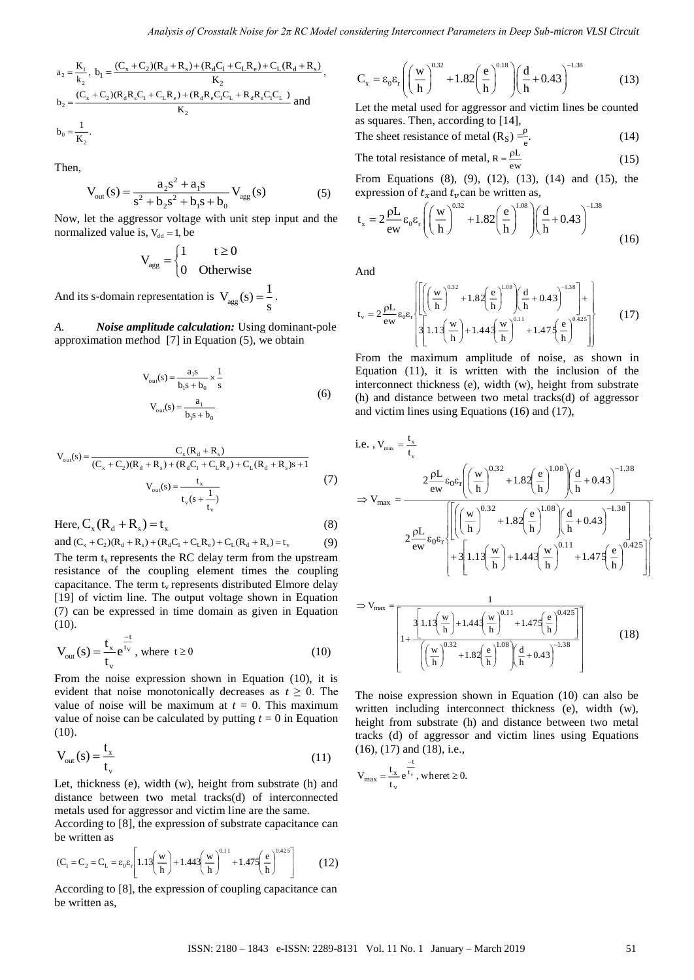$$
a_2 = \frac{K_1}{k_2}, b_1 = \frac{(C_x + C_2)(R_d + R_s) + (R_d C_1 + C_L R_e) + C_L (R_d + R_s)}{K_2},
$$
  
\n
$$
b_2 = \frac{(C_x + C_2)(R_d R_s C_1 + C_L R_e) + (R_d R_e C_1 C_L + R_d R_s C_1 C_L)}{K_2}
$$
 and  
\n
$$
b_0 = \frac{1}{K_2}.
$$

Then,

$$
V_{out}(s) = \frac{a_2 s^2 + a_1 s}{s^2 + b_2 s^2 + b_1 s + b_0} V_{agg}(s)
$$
 (5)

Now, let the aggressor voltage with unit step input and the normalized value is,  $V_{dd} = 1$ , be

$$
V_{\text{agg}} = \begin{cases} 1 & t \ge 0 \\ 0 & \text{Otherwise} \end{cases}
$$

And its s-domain representation is  $V_{\text{agg}}$  $V_{\text{agg}}(s) = \frac{1}{s}$ .

*A. Noise amplitude calculation:* Using dominant-pole approximation m*et*hod [7] in Equation (5), we obtain

$$
V_{out}(s) = \frac{a_1 s}{b_1 s + b_0} \times \frac{1}{s}
$$
  

$$
V_{out}(s) = \frac{a_1}{b_1 s + b_0}
$$
 (6)

$$
V_{out}(s) = \frac{C_x(R_d + R_s)}{(C_x + C_2)(R_d + R_s) + (R_dC_1 + C_LR_e) + C_L(R_d + R_s)s + 1}
$$
  

$$
V_{out}(s) = \frac{t_x}{t_v(s + \frac{1}{t_v})}
$$
(7)

Here,  $C_{\rm x}$  ( $R_{\rm d}$  +  $R_{\rm s}$  ) = t<sub>x</sub> (8)

and  $(C_x + C_2)(R_d + R_s) + (R_d C_1 + C_L R_e) + C_L (R_d + R_s) = t_v$ (9) The term  $t_x$  represents the RC delay term from the upstream resistance of the coupling element times the coupling capacitance. The term  $t_v$  represents distributed Elmore delay [19] of victim line. The output voltage shown in Equation (7) can be expressed in time domain as given in Equation (10).

$$
V_{out}(s) = \frac{t_x}{t_v} e^{\frac{-t}{t_v}}, \text{ where } t \ge 0
$$
 (10)

From the noise expression shown in Equation (10), it is evident that noise monotonically decreases as  $t \geq 0$ . The value of noise will be maximum at  $t = 0$ . This maximum value of noise can be calculated by putting  $t = 0$  in Equation (10).

$$
V_{out}(s) = \frac{t_x}{t_y}
$$
 (11)

Let, thickness (e), width (w), height from substrate (h) and distance between two metal tracks(d) of interconnected metals used for aggressor and victim line are the same.

According to [8], the expression of substrate capacitance can be written as

$$
(C_1 = C_2 = C_L = \varepsilon_0 \varepsilon_r \left[ 1.13 \left( \frac{w}{h} \right) + 1.443 \left( \frac{w}{h} \right)^{0.11} + 1.475 \left( \frac{e}{h} \right)^{0.425} \right] \tag{12}
$$

According to [8], the expression of coupling capacitance can

$$
C_x = \varepsilon_0 \varepsilon_r \left( \left( \frac{w}{h} \right)^{0.32} + 1.82 \left( \frac{e}{h} \right)^{0.18} \right) \left( \frac{d}{h} + 0.43 \right)^{-1.38}
$$
(13)

Let the metal used for aggressor and victim lines be counted as squares. Then, according to [14],

The sheet resistance of metal (R<sub>S</sub>) = 
$$
\frac{\rho}{e}
$$
. (14)

The total resistance of metal, 
$$
R = \frac{\rho L}{ew}
$$
 (15)

From Equations (8), (9), (12), (13), (14) and (15), the expression of  $t_x$  and  $t_y$  can be written as,

$$
t_x = 2 \frac{\rho L}{ew} \epsilon_0 \epsilon_r \left( \left( \frac{w}{h} \right)^{0.32} + 1.82 \left( \frac{e}{h} \right)^{1.08} \right) \left( \frac{d}{h} + 0.43 \right)^{-1.38}
$$
 (16)

And

$$
t_{v} = 2 \frac{\rho L}{ew} \epsilon_{0} \epsilon_{r} \left\{ \left[ \left( \left( \frac{w}{h} \right)^{0.32} + 1.82 \left( \frac{e}{h} \right)^{1.08} \right) \left( \frac{d}{h} + 0.43 \right)^{-1.38} \right] + \left[ 3 \left[ 1.13 \left( \frac{w}{h} \right) + 1.443 \left( \frac{w}{h} \right)^{0.11} + 1.475 \left( \frac{e}{h} \right)^{0.425} \right] \right\}
$$
(17)

From the maximum amplitude of noise, as shown in Equation (11), it is written with the inclusion of the interconnect thickness (e), width (w), height from substrate (h) and distance between two metal tracks(d) of aggressor and victim lines using Equations (16) and (17),

$$
u_2 = \frac{k_1}{k_1} \cdot b_2 = \frac{(C_2 + C_2)(R_2 + C_1 + C_1)(R_1 + C_2 + C_1)(R_2 + C_2)(R_1 + R_1)(R_2 + C_2)(R_1 + R_1)(R_2 + C_2)(R_1 + R_1)(R_2 + C_2)(R_1 + R_1)(R_2 + C_2)(R_1 + R_1)(R_2 + C_2)(R_1 + R_1)(R_2 + C_1)(R_1 + R_1)(R_2 + C_1)(R_1 + R_1)(R_2 + C_1)(R_1 + R_1)(R_1 + R_1)(R_1 + R_1)(R_1 + R_1)(R_1 + R_1)(R_1 + R_1)(R_1 + R_1)(R_1 + R_1)(R_1 + R_1)(R_1 + R_1)(R_1 + R_1)(R_1 + R_1)(R_1 + R_1)(R_1 + R_1)(R_1 + R_1)(R_1 + R_1)(R_1 + R_1)(R_1 + R_1)(R_1 + R_1)(R_1 + R_1)(R_1 + R_1)(R_1 + R_1)(R_1 + R_1)(R_1 + R_1)(R_1 + R_1)(R_1 + R_1)(R_1 + R_1)(R_1 + R_1)(R_1 + R_1)(R_1 + R_1)(R_1 + R_1)(R_1 + R_1)(R_1 + R_1)(R_1 + R_1)(R_1 + R_1)(R_1 + R_1)(R_1 + R_1)(R_1 + R_1)(R_1 + R_1)(R_1 + R_1)(R_1 + R_1)(R_1 + R_1)(R_1 + R_1)(R_1 + R_1)(R_1 + R_1)(R_1 + R_1)(R_1 + R_1)(R_1 + R_1)(R_1 + R_1)(R_1 + R_1)(R_1 + R_1)(R_1 + R_1)(R_1 + R_1)(R_1 + R_1)(R_1 + R_1)(R_1 + R_1)(R_1 + R_1)(R_1 + R_1)(R_1 + R_1)(R_1 + R_1)(R_1 + R_1)(R_1 + R_1)(R_1 + R_1)(R_1 + R_1)(R_1 + R_1)(R_1 + R_1)(R_1 + R_1)(R_1 + R_1)(R_1 + R_1)(R_1 + R_1)(R_1 + R_
$$

The noise expression shown in Equation (10) can also be written including interconnect thickness (e), width (w), height from substrate (h) and distance between two metal tracks (d) of aggressor and victim lines using Equations (16), (17) and (18), i.e.,

J

h

 $\frac{w}{h}$  +1.82  $\frac{e}{h}$ 

I I

I l )<br>|<br>|

l

– + 0.43<br>h d

$$
V_{\text{max}} = \frac{t_x}{t_y} e^{\frac{-t}{t_y}}, \text{where } t \ge 0.
$$

L L  $\overline{\phantom{a}}$ l

w

L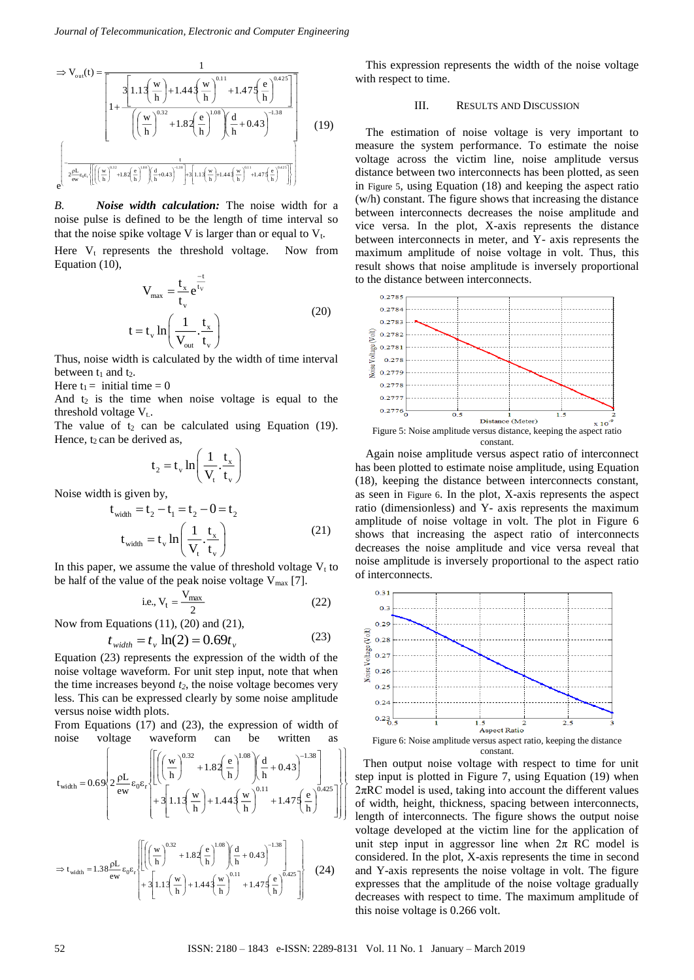$$
\Rightarrow V_{out}(t) = \frac{1}{\left[1 + \frac{3\left[1.13\left(\frac{w}{h}\right) + 1.443\left(\frac{w}{h}\right)^{0.11} + 1.473\left(\frac{e}{h}\right)^{0.425}\right]\right]}
$$

$$
\left[\left(\frac{w}{h}\right)^{0.32} + 1.82\left(\frac{e}{h}\right)^{1.08}\right)\left(\frac{d}{h} + 0.43\right)^{-1.38}}
$$

$$
\left[\frac{2\frac{pL}{ew}\epsilon_v\epsilon_v}{\left[\left(\left(\frac{w}{h}\right)^{0.2} + 1.82\left(\frac{e}{h}\right)^{0.8}\right)\left(\frac{d}{h} + 0.43\right)^{-1.38}}\right]\right]
$$
(19)

*B. Noise width calculation:* The noise width for a noise pulse is defined to be the length of time interval so that the noise spike voltage V is larger than or equal to  $V_t$ .

Here  $V_t$  represents the threshold voltage. Now from Equation (10),

$$
V_{\text{max}} = \frac{t_x}{t_v} e^{\frac{-t}{t_v}}
$$
  
\n
$$
t = t_v \ln\left(\frac{1}{V_{\text{out}}} \cdot \frac{t_x}{t_v}\right)
$$
 (20)

Thus, noise width is calculated by the width of time interval between  $t_1$  and  $t_2$ .

Here  $t_1$  = initial time = 0

And  $t_2$  is the time when noise voltage is equal to the threshold voltage  $V_t$ .

The value of  $t_2$  can be calculated using Equation (19). Hence,  $t_2$  can be derived as,

$$
t_2 = t_v \ln\left(\frac{1}{V_t} \cdot \frac{t_x}{t_v}\right)
$$

Noise width is given by,

$$
\mathbf{t}_{\text{width}} = \mathbf{t}_2 - \mathbf{t}_1 = \mathbf{t}_2 - \mathbf{0} = \mathbf{t}_2
$$
\n
$$
\mathbf{t}_{\text{width}} = \mathbf{t}_v \ln \left( \frac{1}{\mathbf{V}_t} \cdot \frac{\mathbf{t}_x}{\mathbf{t}_v} \right) \tag{21}
$$

In this paper, we assume the value of threshold voltage  $V_t$  to be half of the value of the peak noise voltage  $V_{\text{max}}$  [7].

i.e., 
$$
V_t = \frac{V_{\text{max}}}{2}
$$
 (22)

Now from Equations (11), (20) and (21),

$$
t_{width} = t_v \ln(2) = 0.69t_v \tag{23}
$$

Equation (23) represents the expression of the width of the noise voltage waveform. For unit step input, note that when the time increases beyond *t2*, the noise voltage becomes very less. This can be expressed clearly by some noise amplitude versus noise width plots.

From Equations (17) and (23), the expression of width of noise voltage waveform can be written as

$$
t_{width} = 0.69\left[2 \frac{\rho L}{ew} \epsilon_0 \epsilon_r \left[ \left[ \left( \left( \frac{w}{h} \right)^{0.32} + 1.82 \left( \frac{e}{h} \right)^{1.08} \right) \left( \frac{d}{h} + 0.43 \right)^{-1.38} \right] + 3 \left[1.13 \left( \frac{w}{h} \right) + 1.443 \left( \frac{w}{h} \right)^{0.11} + 1.475 \left( \frac{e}{h} \right)^{0.425} \right] \right] \right]
$$

$$
\Rightarrow t_{\text{width}} = 1.38 \frac{\rho L}{ew} \epsilon_0 \epsilon_r \left\{ \left[ \left( \left( \frac{w}{h} \right)^{0.32} + 1.82 \left( \frac{e}{h} \right)^{1.08} \right) \left( \frac{d}{h} + 0.43 \right)^{-1.38} \right] \right\}
$$
  

$$
\Rightarrow t_{\text{width}} = 1.38 \frac{\rho L}{ew} \epsilon_0 \epsilon_r \left\{ 1.1 \left( \frac{w}{h} \right) + 1.44 \left( \frac{w}{h} \right)^{0.11} + 1.47 \left( \frac{e}{h} \right)^{0.425} \right] \right\}
$$
(24)

This expression represents the width of the noise voltage with respect to time.

### III. RESULTS AND DISCUSSION

The estimation of noise voltage is very important to measure the system performance. To estimate the noise voltage across the victim line, noise amplitude versus distance between two interconnects has been plotted, as seen in [Figure 5](#page-3-0), using Equation (18) and keeping the aspect ratio (w/h) constant. The figure shows that increasing the distance between interconnects decreases the noise amplitude and vice versa. In the plot, X-axis represents the distance between interconnects in meter, and Y- axis represents the maximum amplitude of noise voltage in volt. Thus, this result shows that noise amplitude is inversely proportional to the distance between interconnects.



<span id="page-3-0"></span>Again noise amplitude versus aspect ratio of interconnect has been plotted to estimate noise amplitude, using Equation (18), keeping the distance between interconnects constant, as seen in [Figure 6](#page-3-1). In the plot, X-axis represents the aspect ratio (dimensionless) and Y- axis represents the maximum amplitude of noise voltage in volt. The plot in [Figure 6](#page-3-1) shows that increasing the aspect ratio of interconnects decreases the noise amplitude and vice versa reveal that noise amplitude is inversely proportional to the aspect ratio of interconnects.



Then output noise voltage with respect to time for unit step input is plotted in [Figure 7,](#page-4-0) using Equation (19) when  $2\pi RC$  model is used, taking into account the different values of width, height, thickness, spacing between interconnects, length of interconnects. The figure shows the output noise voltage developed at the victim line for the application of unit step input in aggressor line when  $2\pi$  RC model is considered. In the plot, X-axis represents the time in second and Y-axis represents the noise voltage in volt. The figure expresses that the amplitude of the noise voltage gradually decreases with respect to time. The maximum amplitude of this noise voltage is 0.266 volt.

I I I

<span id="page-3-1"></span>I I I ነ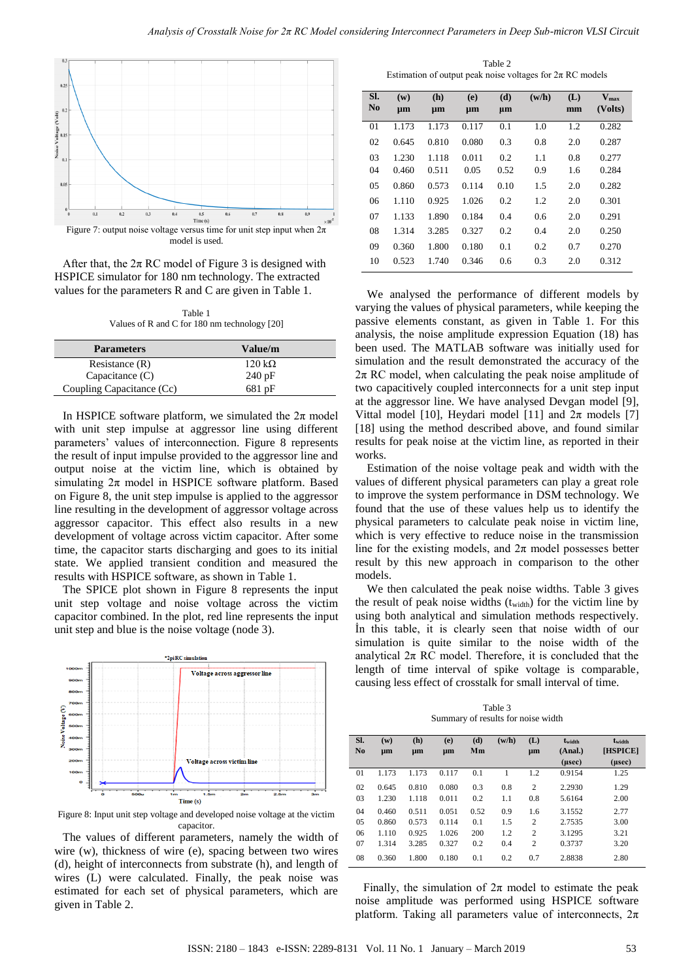

<span id="page-4-0"></span>After that, the  $2\pi$  RC model of [Figure 3](#page-1-1) is designed with HSPICE simulator for 180 nm technology. The extracted values for the parameters R and C are given in Table 1.

Table 1 Values of R and C for 180 nm technology [20]

| <b>Parameters</b>         | Value/m        |
|---------------------------|----------------|
| Resistance $(R)$          | 120 k $\Omega$ |
| Capacitance $(C)$         | 240 pF         |
| Coupling Capacitance (Cc) | 681 pF         |

In HSPICE software platform, we simulated the  $2\pi$  model with unit step impulse at aggressor line using different parameters' values of interconnection. [Figure 8](#page-4-1) represents the result of input impulse provided to the aggressor line and output noise at the victim line, which is obtained by simulating  $2\pi$  model in HSPICE software platform. Based on Figure 8, the unit step impulse is applied to the aggressor line resulting in the development of aggressor voltage across aggressor capacitor. This effect also results in a new development of voltage across victim capacitor. After some time, the capacitor starts discharging and goes to its initial state. We applied transient condition and measured the results with HSPICE software, as shown in Table 1.

The SPICE plot shown in [Figure 8](#page-4-1) represents the input unit step voltage and noise voltage across the victim capacitor combined. In the plot, red line represents the input unit step and blue is the noise voltage (node 3).



<span id="page-4-1"></span>Figure 8: Input unit step voltage and developed noise voltage at the victim capacitor.

The values of different parameters, namely the width of wire (w), thickness of wire (e), spacing between two wires (d), height of interconnects from substrate (h), and length of wires (L) were calculated. Finally, the peak noise was estimated for each set of physical parameters, which are given in Table 2.

Table 2 Estimation of output peak noise voltages for  $2\pi$  RC models

| SI.<br>No | $(\mathbf{w})$<br>$\mu$ m | (h)<br>μm | (e)<br>μm | (d)<br>$\mu$ m | (w/h) | (L)<br>mm | $\overline{\mathbf{V}}_{\text{max}}$<br>(Volts) |
|-----------|---------------------------|-----------|-----------|----------------|-------|-----------|-------------------------------------------------|
| 01        | 1.173                     | 1.173     | 0.117     | 0.1            | 1.0   | 1.2       | 0.282                                           |
| 02        | 0.645                     | 0.810     | 0.080     | 0.3            | 0.8   | 2.0       | 0.287                                           |
| 03        | 1.230                     | 1.118     | 0.011     | 0.2            | 1.1   | 0.8       | 0.277                                           |
| 04        | 0.460                     | 0.511     | 0.05      | 0.52           | 0.9   | 1.6       | 0.284                                           |
| 05        | 0.860                     | 0.573     | 0.114     | 0.10           | 1.5   | 2.0       | 0.282                                           |
| 06        | 1.110                     | 0.925     | 1.026     | 0.2            | 1.2   | 2.0       | 0.301                                           |
| 07        | 1.133                     | 1.890     | 0.184     | 0.4            | 0.6   | 2.0       | 0.291                                           |
| 08        | 1.314                     | 3.285     | 0.327     | 0.2            | 0.4   | 2.0       | 0.250                                           |
| 09        | 0.360                     | 1.800     | 0.180     | 0.1            | 0.2   | 0.7       | 0.270                                           |
| 10        | 0.523                     | 1.740     | 0.346     | 0.6            | 0.3   | 2.0       | 0.312                                           |

We analysed the performance of different models by varying the values of physical parameters, while keeping the passive elements constant, as given in Table 1. For this analysis, the noise amplitude expression Equation (18) has been used. The MATLAB software was initially used for simulation and the result demonstrated the accuracy of the  $2\pi$  RC model, when calculating the peak noise amplitude of two capacitively coupled interconnects for a unit step input at the aggressor line. We have analysed Devgan model [9], Vittal model [10], Heydari model [11] and  $2\pi$  models [7] [18] using the method described above, and found similar results for peak noise at the victim line, as reported in their works.

Estimation of the noise voltage peak and width with the values of different physical parameters can play a great role to improve the system performance in DSM technology. We found that the use of these values help us to identify the physical parameters to calculate peak noise in victim line, which is very effective to reduce noise in the transmission line for the existing models, and  $2\pi$  model possesses better result by this new approach in comparison to the other models.

We then calculated the peak noise widths. Table 3 gives the result of peak noise widths  $(t_{width})$  for the victim line by using both analytical and simulation methods respectively. İn this table, it is clearly seen that noise width of our simulation is quite similar to the noise width of the analytical  $2\pi$  RC model. Therefore, it is concluded that the length of time interval of spike voltage is comparable, causing less effect of crosstalk for small interval of time.

Table 3 Summary of results for noise width

| SI.<br>No | (w)<br>µm | (h)<br>µm | (e)<br>µm | (d)<br>Mm | (w/h) | (L)<br>µm      | twidth<br>(Anal.)<br>$(\mu$ sec $)$ | twidth<br>[HSPICE]<br>$(\mu$ sec $)$ |
|-----------|-----------|-----------|-----------|-----------|-------|----------------|-------------------------------------|--------------------------------------|
| 01        | 1.173     | 1.173     | 0.117     | 0.1       |       | 1.2            | 0.9154                              | 1.25                                 |
| 02        | 0.645     | 0.810     | 0.080     | 0.3       | 0.8   | $\overline{2}$ | 2.2930                              | 1.29                                 |
| 03        | 1.230     | 1.118     | 0.011     | 0.2       | 1.1   | 0.8            | 5.6164                              | 2.00                                 |
| 04        | 0.460     | 0.511     | 0.051     | 0.52      | 0.9   | 1.6            | 3.1552                              | 2.77                                 |
| 05        | 0.860     | 0.573     | 0.114     | 0.1       | 1.5   | $\overline{c}$ | 2.7535                              | 3.00                                 |
| 06        | 1.110     | 0.925     | 1.026     | 200       | 1.2   | $\overline{2}$ | 3.1295                              | 3.21                                 |
| 07        | 1.314     | 3.285     | 0.327     | 0.2       | 0.4   | $\overline{2}$ | 0.3737                              | 3.20                                 |
| 08        | 0.360     | 1.800     | 0.180     | 0.1       | 0.2   | 0.7            | 2.8838                              | 2.80                                 |

Finally, the simulation of  $2\pi$  model to estimate the peak noise amplitude was performed using HSPICE software platform. Taking all parameters value of interconnects,  $2\pi$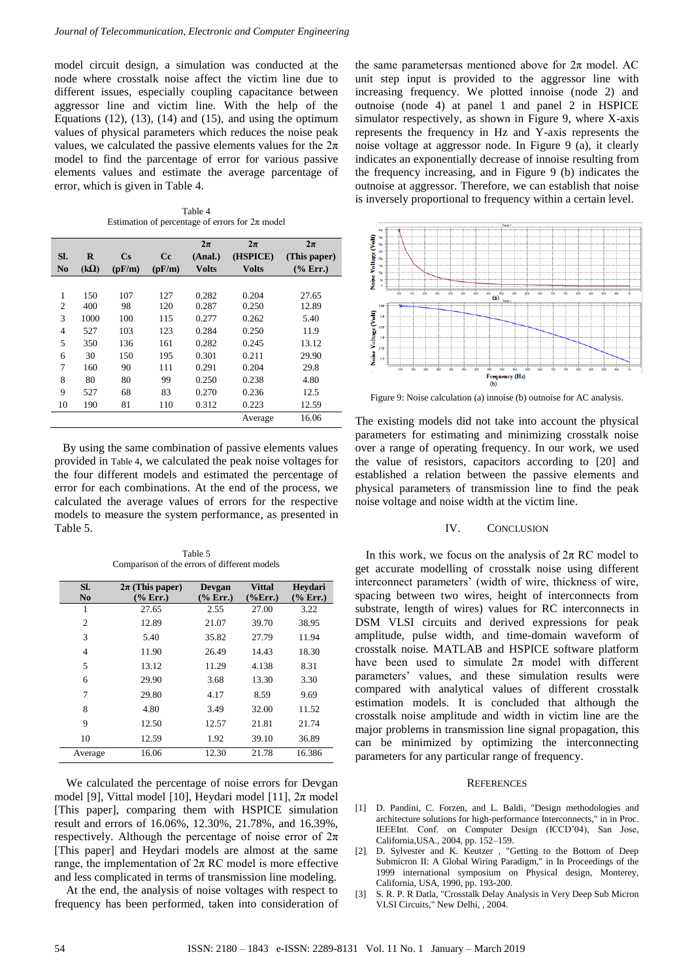model circuit design, a simulation was conducted at the node where crosstalk noise affect the victim line due to different issues, especially coupling capacitance between aggressor line and victim line. With the help of the Equations  $(12)$ ,  $(13)$ ,  $(14)$  and  $(15)$ , and using the optimum values of physical parameters which reduces the noise peak values, we calculated the passive elements values for the  $2\pi$ model to find the parcentage of error for various passive elements values and estimate the average parcentage of error, which is given in Table 4.

Table 4 Estimation of percentage of errors for  $2\pi$  model

<span id="page-5-0"></span>

|                |             |          |        | $2\pi$       | $2\pi$       | $2\pi$       |
|----------------|-------------|----------|--------|--------------|--------------|--------------|
| SI.            | $\bf{R}$    | $\bf Cs$ | Cc.    | (Anal.)      | (HSPICE)     | (This paper) |
| N <sub>0</sub> | $(k\Omega)$ | (pF/m)   | (pF/m) | <b>Volts</b> | <b>Volts</b> | $(\%$ Err.)  |
|                |             |          |        |              |              |              |
| 1              | 150         | 107      | 127    | 0.282        | 0.204        | 27.65        |
| $\overline{c}$ | 400         | 98       | 120    | 0.287        | 0.250        | 12.89        |
| 3              | 1000        | 100      | 115    | 0.277        | 0.262        | 5.40         |
| 4              | 527         | 103      | 123    | 0.284        | 0.250        | 11.9         |
| 5              | 350         | 136      | 161    | 0.282        | 0.245        | 13.12        |
| 6              | 30          | 150      | 195    | 0.301        | 0.211        | 29.90        |
| 7              | 160         | 90       | 111    | 0.291        | 0.204        | 29.8         |
| 8              | 80          | 80       | 99     | 0.250        | 0.238        | 4.80         |
| 9              | 527         | 68       | 83     | 0.270        | 0.236        | 12.5         |
| 10             | 190         | 81       | 110    | 0.312        | 0.223        | 12.59        |
|                |             |          |        |              | Average      | 16.06        |

By using the same combination of passive elements values provided in [Table 4](#page-5-0), we calculated the peak noise voltages for the four different models and estimated the percentage of error for each combinations. At the end of the process, we calculated the average values of errors for the respective models to measure the system performance, as presented in [Table 5.](#page-5-1)

Table 5 Comparison of the errors of different models

<span id="page-5-1"></span>

| SI.<br>No      | $2\pi$ (This paper)<br>(% Err.) | Devgan<br>(% Err.) | <b>Vittal</b><br>$\frac{6}{2}$ Err. | Heydari<br>(% Err.) |
|----------------|---------------------------------|--------------------|-------------------------------------|---------------------|
|                | 27.65                           | 2.55               | 27.00                               | 3.22                |
| $\overline{2}$ | 12.89                           | 21.07              | 39.70                               | 38.95               |
| 3              | 5.40                            | 35.82              | 27.79                               | 11.94               |
| 4              | 11.90                           | 26.49              | 14.43                               | 18.30               |
| 5              | 13.12                           | 11.29              | 4.138                               | 8.31                |
| 6              | 29.90                           | 3.68               | 13.30                               | 3.30                |
| 7              | 29.80                           | 4.17               | 8.59                                | 9.69                |
| 8              | 4.80                            | 3.49               | 32.00                               | 11.52               |
| 9              | 12.50                           | 12.57              | 21.81                               | 21.74               |
| 10             | 12.59                           | 1.92               | 39.10                               | 36.89               |
| Average        | 16.06                           | 12.30              | 21.78                               | 16.386              |

We calculated the percentage of noise errors for Devgan model [9], Vittal model [10], Heydari model [11],  $2\pi$  model [This paper], comparing them with HSPICE simulation result and errors of 16.06%, 12.30%, 21.78%, and 16.39%, respectively. Although the percentage of noise error of  $2\pi$ [This paper] and Heydari models are almost at the same range, the implementation of  $2\pi$  RC model is more effective and less complicated in terms of transmission line modeling.

At the end, the analysis of noise voltages with respect to frequency has been performed, taken into consideration of the same parametersas mentioned above for  $2\pi$  model. AC unit step input is provided to the aggressor line with increasing frequency. We plotted innoise (node 2) and outnoise (node 4) at panel 1 and panel 2 in HSPICE simulator respectively, as shown in [Figure 9,](#page-5-2) where X-axis represents the frequency in Hz and Y-axis represents the noise voltage at aggressor node. In [Figure 9](#page-5-2) (a), it clearly indicates an exponentially decrease of innoise resulting from the frequency increasing, and in [Figure 9](#page-5-2) (b) indicates the outnoise at aggressor. Therefore, we can establish that noise is inversely proportional to frequency within a certain level.



<span id="page-5-2"></span>Figure 9: Noise calculation (a) innoise (b) outnoise for AC analysis.

The existing models did not take into account the physical parameters for estimating and minimizing crosstalk noise over a range of operating frequency. In our work, we used the value of resistors, capacitors according to [20] and established a relation between the passive elements and physical parameters of transmission line to find the peak noise voltage and noise width at the victim line.

# IV. CONCLUSION

In this work, we focus on the analysis of  $2\pi$  RC model to get accurate modelling of crosstalk noise using different interconnect parameters' (width of wire, thickness of wire, spacing between two wires, height of interconnects from substrate, length of wires) values for RC interconnects in DSM VLSI circuits and derived expressions for peak amplitude, pulse width, and time-domain waveform of crosstalk noise. MATLAB and HSPICE software platform have been used to simulate  $2\pi$  model with different parameters' values, and these simulation results were compared with analytical values of different crosstalk estimation models. It is concluded that although the crosstalk noise amplitude and width in victim line are the major problems in transmission line signal propagation, this can be minimized by optimizing the interconnecting parameters for any particular range of frequency.

# **REFERENCES**

- [1] D. Pandini, C. Forzen, and L. Baldi, "Design methodologies and architecture solutions for high-performance Interconnects," in in Proc. IEEEInt. Conf. on Computer Design (ICCD'04), San Jose, California,USA., 2004, pp. 152–159.
- [2] D. Sylvester and K. Keutzer , "Getting to the Bottom of Deep Submicron II: A Global Wiring Paradigm," in In Proceedings of the 1999 international symposium on Physical design, Monterey, California, USA, 1990, pp. 193-200.
- [3] S. R. P. R Datla, "Crosstalk Delay Analysis in Very Deep Sub Micron VLSI Circuits," New Delhi, , 2004.